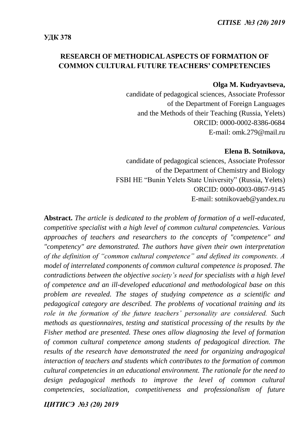# **RESEARCH OF METHODICAL ASPECTS OF FORMATION OF СOMMON CULTURAL FUTURE TEACHERS' COMPETENCIES**

#### **Olga M. Kudryavtseva,**

candidate of pedagogical sciences, Associate Professor of the Department of Foreign Languages and the Methods of their Teaching (Russia, Yelets) ORCID: 0000-0002-8386-0684 E-mail: omk.279@mail.ru

#### **Elena B. Sotnikova,**

candidate of pedagogical sciences, Associate Professor of the Department of Chemistry and Biology FSBI HE "Bunin Yelets State University" (Russia, Yelets) ORCID: 0000-0003-0867-9145 E-mail: sotnikovaeb@yandex.ru

**Abstract.** *The article is dedicated to the problem of formation of a well-educated, competitive specialist with a high level of common cultural competencies. Various approaches of teachers and researchers to the concepts of "competence" and "competency" are demonstrated. The authors have given their own interpretation of the definition of "common cultural competence" and defined its components. A model of interrelated components of common cultural competence is proposed. The contradictions between the objective society's need for specialists with a high level of competence and an ill-developed educational and methodological base on this problem are revealed. The stages of studying competence as a scientific and pedagogical category are described. The problems of vocational training and its role in the formation of the future teachers' personality are considered. Such methods as questionnaires, testing and statistical processing of the results by the Fisher method are presented. These ones allow diagnosing the level of formation of common cultural competence among students of pedagogical direction. The results of the research have demonstrated the need for organizing andragogical interaction of teachers and students which contributes to the formation of common cultural competencies in an educational environment. The rationale for the need to*  design pedagogical methods to improve the level of common cultural *competencies, socialization, competitiveness and professionalism of future*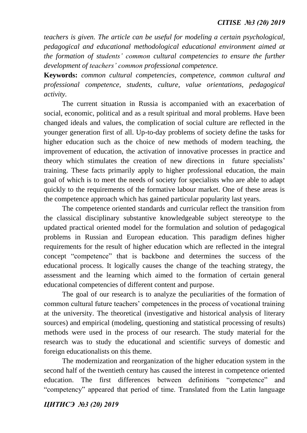*teachers is given. The article can be useful for modeling a certain psychological, pedagogical and educational methodological educational environment aimed at the formation of students' common cultural competencies to ensure the further development of teachers' common professional competence.* 

**Keywords:** *common cultural competencies, competence, common cultural and professional competence, students, culture, value orientations, pedagogical activity.*

The current situation in Russia is accompanied with an exacerbation of social, economic, political and as a result spiritual and moral problems. Have been changed ideals and values, the complication of social culture are reflected in the younger generation first of all. Up-to-day problems of society define the tasks for higher education such as the choice of new methods of modern teaching, the improvement of education, the activation of innovative processes in practice and theory which stimulates the creation of new directions in future specialists' training. These facts primarily apply to higher professional education, the main goal of which is to meet the needs of society for specialists who are able to adapt quickly to the requirements of the formative labour market. One of these areas is the competence approach which has gained particular popularity last years.

The competence oriented standards and curricular reflect the transition from the classical disciplinary substantive knowledgeable subject stereotype to the updated practical oriented model for the formulation and solution of pedagogical problems in Russian and European education. This paradigm defines higher requirements for the result of higher education which are reflected in the integral concept "competence" that is backbone and determines the success of the educational process. It logically causes the change of the teaching strategy, the assessment and the learning which aimed to the formation of certain general educational competencies of different content and purpose.

The goal of our research is to analyze the peculiarities of the formation of common cultural future teachers' competences in the process of vocational training at the university. The theoretical (investigative and historical analysis of literary sources) and empirical (modeling, questioning and statistical processing of results) methods were used in the process of our research. The study material for the research was to study the educational and scientific surveys of domestic and foreign educationalists on this theme.

The modernization and reorganization of the higher education system in the second half of the twentieth century has caused the interest in competence oriented education. The first differences between definitions "competence" and "competency" appeared that period of time. Translated from the Latin language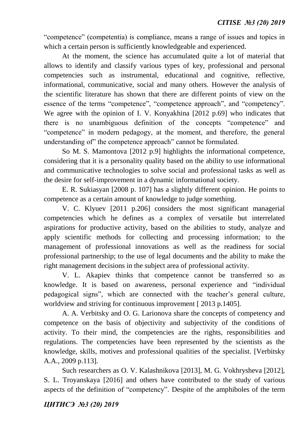"competence" (competentia) is compliance, means a range of issues and topics in which a certain person is sufficiently knowledgeable and experienced.

At the moment, the science has accumulated quite a lot of material that allows to identify and classify various types of key, professional and personal competencies such as instrumental, educational and cognitive, reflective, informational, communicative, social and many others. However the analysis of the scientific literature has shown that there are different points of view on the essence of the terms "competence", "competence approach", and "competency". We agree with the opinion of I. V. Konyakhina [2012 p.69] who indicates that there is no unambiguous definition of the concepts "competence" and "competence" in modern pedagogy, at the moment, and therefore, the general understanding of" the competence approach" cannot be formulated.

So M. S. Mamontova [2012 p.9] highlights the informational competence, considering that it is a personality quality based on the ability to use informational and communicative technologies to solve social and professional tasks as well as the desire for self-improvement in a dynamic informational society.

E. R. Sukiasyan [2008 p. 107] has a slightly different opinion. He points to competence as a certain amount of knowledge to judge something.

V. C. Klyuev [2011 p.206] considers the most significant managerial competencies which he defines as a complex of versatile but interrelated aspirations for productive activity, based on the abilities to study, analyze and apply scientific methods for collecting and processing information; to the management of professional innovations as well as the readiness for social professional partnership; to the use of legal documents and the ability to make the right management decisions in the subject area of professional activity.

V. L. Akapiev thinks that competence cannot be transferred so as knowledge. It is based on awareness, personal experience and "individual pedagogical signs", which are connected with the teacher's general culture, worldview and striving for continuous improvement [ 2013 p.1405].

A. A. Verbitsky and O. G. Larionova share the concepts of competency and competence on the basis of objectivity and subjectivity of the conditions of activity. To their mind, the competencies are the rights, responsibilities and regulations. The competencies have been represented by the scientists as the knowledge, skills, motives and professional qualities of the specialist. [Verbitsky A.A., 2009 p.113].

Such researchers as O. V. Kalashnikova [2013], M. G. Vokhrysheva [2012], S. L. Troyanskaya [2016] and others have contributed to the study of various aspects of the definition of "competency". Despite of the amphiboles of the term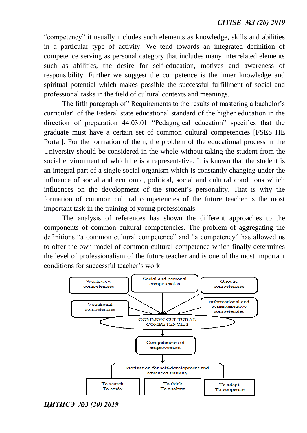"competency" it usually includes such elements as knowledge, skills and abilities in a particular type of activity. We tend towards an integrated definition of competence serving as personal category that includes many interrelated elements such as abilities, the desire for self-education, motives and awareness of responsibility. Further we suggest the competence is the inner knowledge and spiritual potential which makes possible the successful fulfillment of social and professional tasks in the field of cultural contexts and meanings.

The fifth paragraph of "Requirements to the results of mastering a bachelor's curricular" of the Federal state educational standard of the higher education in the direction of preparation 44.03.01 "Pedagogical education" specifies that the graduate must have a certain set of common cultural competencies [FSES HE Portal]. For the formation of them, the problem of the educational process in the University should be considered in the whole without taking the student from the social environment of which he is a representative. It is known that the student is an integral part of a single social organism which is constantly changing under the influence of social and economic, political, social and cultural conditions which influences on the development of the student's personality. That is why the formation of common cultural competencies of the future teacher is the most important task in the training of young professionals.

The analysis of references has shown the different approaches to the components of common cultural competencies. The problem of aggregating the definitions "a common cultural competence" and "a competency" has allowed us to offer the own model of common cultural competence which finally determines the level of professionalism of the future teacher and is one of the most important conditions for successful teacher's work.



*ЦИТИСЭ №3 (20) 2019*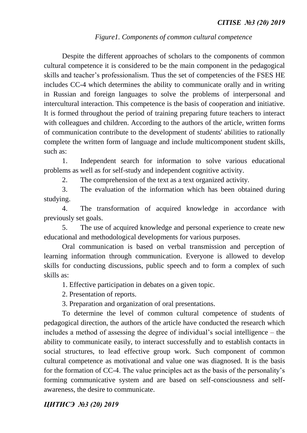## *Figure1. Components of common cultural competence*

Despite the different approaches of scholars to the components of common cultural competence it is considered to be the main component in the pedagogical skills and teacher's professionalism. Thus the set of competencies of the FSES HE includes CC-4 which determines the ability to communicate orally and in writing in Russian and foreign languages to solve the problems of interpersonal and intercultural interaction. This competence is the basis of cooperation and initiative. It is formed throughout the period of training preparing future teachers to interact with colleagues and children. According to the authors of the article, written forms of communication contribute to the development of students' abilities to rationally complete the written form of language and include multicomponent student skills, such as:

1. Independent search for information to solve various educational problems as well as for self-study and independent cognitive activity.

2. The comprehension of the text as a text organized activity.

3. The evaluation of the information which has been obtained during studying.

4. The transformation of acquired knowledge in accordance with previously set goals.

5. The use of acquired knowledge and personal experience to create new educational and methodological developments for various purposes.

Oral communication is based on verbal transmission and perception of learning information through communication. Everyone is allowed to develop skills for conducting discussions, public speech and to form a complex of such skills as:

1. Effective participation in debates on a given topic.

2. Presentation of reports.

3. Preparation and organization of oral presentations.

To determine the level of common cultural competence of students of pedagogical direction, the authors of the article have conducted the research which includes a method of assessing the degree of individual's social intelligence – the ability to communicate easily, to interact successfully and to establish contacts in social structures, to lead effective group work. Such component of common cultural competence as motivational and value one was diagnosed. It is the basis for the formation of CC-4. The value principles act as the basis of the personality's forming communicative system and are based on self-consciousness and selfawareness, the desire to communicate.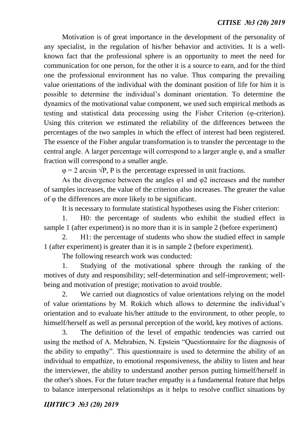Motivation is of great importance in the development of the personality of any specialist, in the regulation of his/her behavior and activities. It is a wellknown fact that the professional sphere is an opportunity to meet the need for communication for one person, for the other it is a source to earn, and for the third one the professional environment has no value. Thus comparing the prevailing value orientations of the individual with the dominant position of life for him it is possible to determine the individual's dominant orientation. To determine the dynamics of the motivational value component, we used such empirical methods as testing and statistical data processing using the Fisher Criterion (φ-criterion). Using this criterion we estimated the reliability of the differences between the percentages of the two samples in which the effect of interest had been registered. The essence of the Fisher angular transformation is to transfer the percentage to the central angle. A larger percentage will correspond to a larger angle φ, and a smaller fraction will correspond to a smaller angle.

 $\varphi = 2$  arcsin  $\sqrt{P}$ , P is the percentage expressed in unit fractions.

As the divergence between the angles φ1 and φ2 increases and the number of samples increases, the value of the criterion also increases. The greater the value of φ the differences are more likely to be significant.

It is necessary to formulate statistical hypotheses using the Fisher criterion:

1. H0: the percentage of students who exhibit the studied effect in sample 1 (after experiment) is no more than it is in sample 2 (before experiment)

2. H1: the percentage of students who show the studied effect in sample 1 (after experiment) is greater than it is in sample 2 (before experiment).

The following research work was conducted:

1. Studying of the motivational sphere through the ranking of the motives of duty and responsibility; self-determination and self-improvement; wellbeing and motivation of prestige; motivation to avoid trouble.

2. We carried out diagnostics of value orientations relying on the model of value orientations by M. Rokich which allows to determine the individual's orientation and to evaluate his/her attitude to the environment, to other people, to himself/herself as well as personal perception of the world, key motives of actions.

3. The definition of the level of empathic tendencies was carried out using the method of A. Mehrabien, N. Epstein "Questionnaire for the diagnosis of the ability to empathy". This questionnaire is used to determine the ability of an individual to empathize, to emotional responsiveness, the ability to listen and hear the interviewer, the ability to understand another person putting himself/herself in the other's shoes. For the future teacher empathy is a fundamental feature that helps to balance interpersonal relationships as it helps to resolve conflict situations by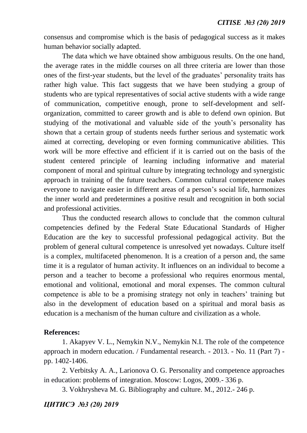consensus and compromise which is the basis of pedagogical success as it makes human behavior socially adapted.

The data which we have obtained show ambiguous results. On the one hand, the average rates in the middle courses on all three criteria are lower than those ones of the first-year students, but the level of the graduates' personality traits has rather high value. This fact suggests that we have been studying a group of students who are typical representatives of social active students with a wide range of communication, competitive enough, prone to self-development and selforganization, committed to career growth and is able to defend own opinion. But studying of the motivational and valuable side of the youth's personality has shown that a certain group of students needs further serious and systematic work aimed at correcting, developing or even forming communicative abilities. This work will be more effective and efficient if it is carried out on the basis of the student centered principle of learning including informative and material component of moral and spiritual culture by integrating technology and synergistic approach in training of the future teachers. Common cultural competence makes everyone to navigate easier in different areas of a person's social life, harmonizes the inner world and predetermines a positive result and recognition in both social and professional activities.

Thus the conducted research allows to conclude that the common cultural competencies defined by the Federal State Educational Standards of Higher Education are the key to successful professional pedagogical activity. But the problem of general cultural competence is unresolved yet nowadays. Culture itself is a complex, multifaceted phenomenon. It is a creation of a person and, the same time it is a regulator of human activity. It influences on an individual to become a person and a teacher to become a professional who requires enormous mental, emotional and volitional, emotional and moral expenses. The common cultural competence is able to be a promising strategy not only in teachers' training but also in the development of education based on a spiritual and moral basis as education is a mechanism of the human culture and civilization as a whole.

### **References:**

1. Akapyev V. L., Nemykin N.V., Nemykin N.I. The role of the competence approach in modern education. / Fundamental research. - 2013. - No. 11 (Part 7) pp. 1402-1406.

2. Verbitsky A. A., Larionova O. G. Personality and competence approaches in education: problems of integration. Moscow: Logos, 2009.- 336 p.

3. Vokhrysheva M. G. Bibliography and culture. M., 2012.- 246 p.